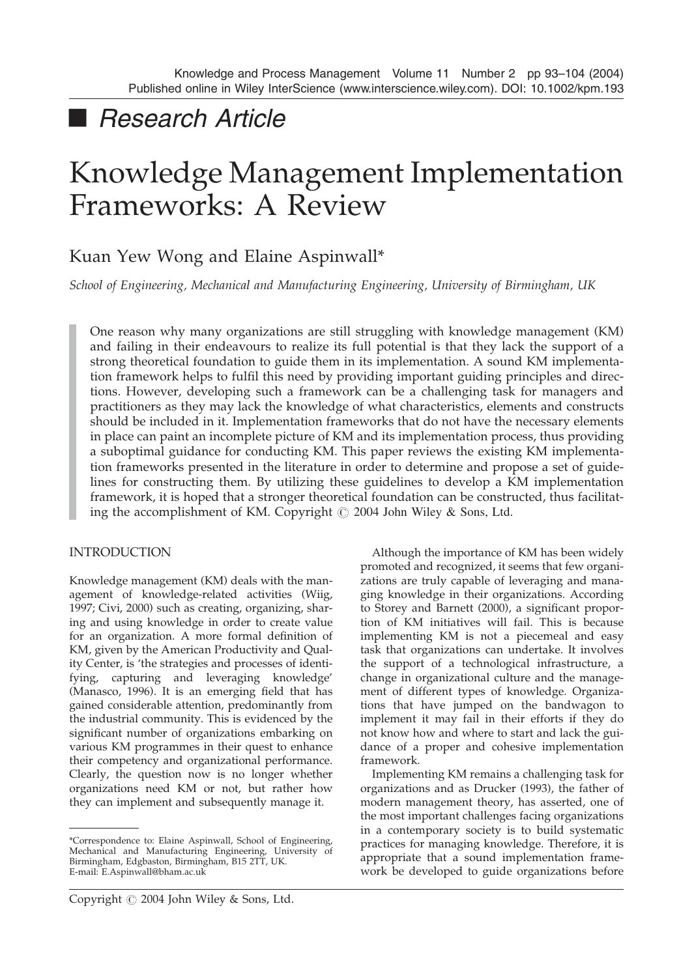# **B** Research Article

# Knowledge Management Implementation Frameworks: A Review

# Kuan Yew Wong and Elaine Aspinwall\*

School of Engineering, Mechanical and Manufacturing Engineering, University of Birmingham, UK

One reason why many organizations are still struggling with knowledge management (KM) and failing in their endeavours to realize its full potential is that they lack the support of a strong theoretical foundation to guide them in its implementation. A sound KM implementation framework helps to fulfil this need by providing important guiding principles and directions. However, developing such a framework can be a challenging task for managers and practitioners as they may lack the knowledge of what characteristics, elements and constructs should be included in it. Implementation frameworks that do not have the necessary elements in place can paint an incomplete picture of KM and its implementation process, thus providing a suboptimal guidance for conducting KM. This paper reviews the existing KM implementation frameworks presented in the literature in order to determine and propose a set of guidelines for constructing them. By utilizing these guidelines to develop a KM implementation framework, it is hoped that a stronger theoretical foundation can be constructed, thus facilitating the accomplishment of KM. Copyright  $\odot$  2004 John Wiley & Sons, Ltd.

## INTRODUCTION

Knowledge management (KM) deals with the management of knowledge-related activities (Wiig, 1997; Civi, 2000) such as creating, organizing, sharing and using knowledge in order to create value for an organization. A more formal definition of KM, given by the American Productivity and Quality Center, is 'the strategies and processes of identifying, capturing and leveraging knowledge' (Manasco, 1996). It is an emerging field that has gained considerable attention, predominantly from the industrial community. This is evidenced by the significant number of organizations embarking on various KM programmes in their quest to enhance their competency and organizational performance. Clearly, the question now is no longer whether organizations need KM or not, but rather how they can implement and subsequently manage it.

Copyright  $@$  2004 John Wiley & Sons, Ltd.

Although the importance of KM has been widely promoted and recognized, it seems that few organizations are truly capable of leveraging and managing knowledge in their organizations. According to Storey and Barnett (2000), a significant proportion of KM initiatives will fail. This is because implementing KM is not a piecemeal and easy task that organizations can undertake. It involves the support of a technological infrastructure, a change in organizational culture and the management of different types of knowledge. Organizations that have jumped on the bandwagon to implement it may fail in their efforts if they do not know how and where to start and lack the guidance of a proper and cohesive implementation framework.

Implementing KM remains a challenging task for organizations and as Drucker (1993), the father of modern management theory, has asserted, one of the most important challenges facing organizations in a contemporary society is to build systematic practices for managing knowledge. Therefore, it is appropriate that a sound implementation framework be developed to guide organizations before

<sup>\*</sup>Correspondence to: Elaine Aspinwall, School of Engineering, Mechanical and Manufacturing Engineering, University of Birmingham, Edgbaston, Birmingham, B15 2TT, UK. E-mail: E.Aspinwall@bham.ac.uk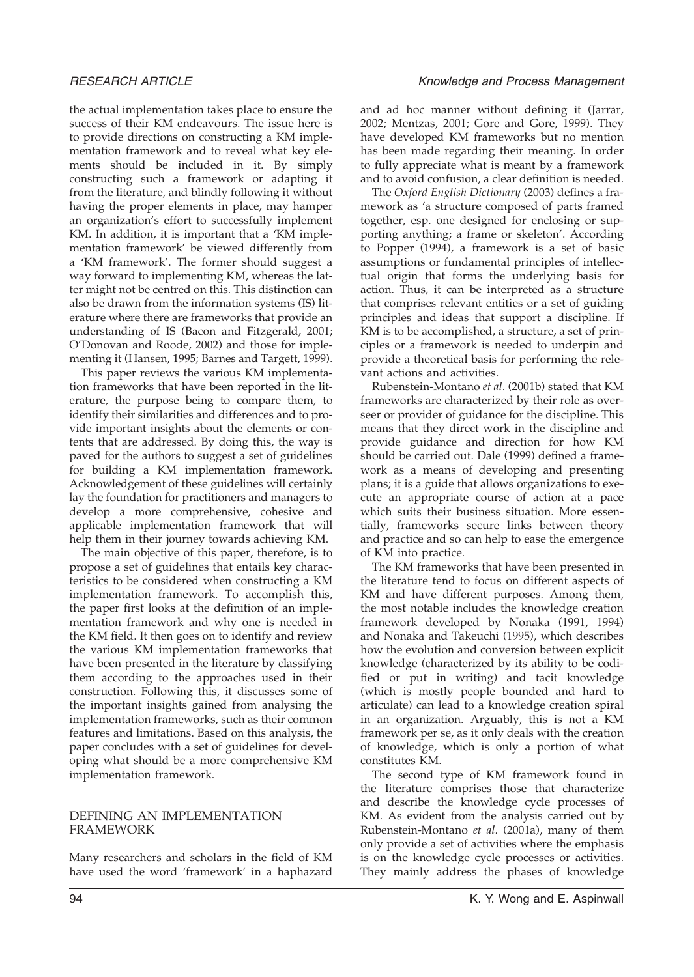the actual implementation takes place to ensure the success of their KM endeavours. The issue here is to provide directions on constructing a KM implementation framework and to reveal what key elements should be included in it. By simply constructing such a framework or adapting it from the literature, and blindly following it without having the proper elements in place, may hamper an organization's effort to successfully implement KM. In addition, it is important that a 'KM implementation framework' be viewed differently from a 'KM framework'. The former should suggest a way forward to implementing KM, whereas the latter might not be centred on this. This distinction can also be drawn from the information systems (IS) literature where there are frameworks that provide an understanding of IS (Bacon and Fitzgerald, 2001; O'Donovan and Roode, 2002) and those for implementing it (Hansen, 1995; Barnes and Targett, 1999).

This paper reviews the various KM implementation frameworks that have been reported in the literature, the purpose being to compare them, to identify their similarities and differences and to provide important insights about the elements or contents that are addressed. By doing this, the way is paved for the authors to suggest a set of guidelines for building a KM implementation framework. Acknowledgement of these guidelines will certainly lay the foundation for practitioners and managers to develop a more comprehensive, cohesive and applicable implementation framework that will help them in their journey towards achieving KM.

The main objective of this paper, therefore, is to propose a set of guidelines that entails key characteristics to be considered when constructing a KM implementation framework. To accomplish this, the paper first looks at the definition of an implementation framework and why one is needed in the KM field. It then goes on to identify and review the various KM implementation frameworks that have been presented in the literature by classifying them according to the approaches used in their construction. Following this, it discusses some of the important insights gained from analysing the implementation frameworks, such as their common features and limitations. Based on this analysis, the paper concludes with a set of guidelines for developing what should be a more comprehensive KM implementation framework.

#### DEFINING AN IMPLEMENTATION FRAMEWORK

Many researchers and scholars in the field of KM have used the word 'framework' in a haphazard and ad hoc manner without defining it (Jarrar, 2002; Mentzas, 2001; Gore and Gore, 1999). They have developed KM frameworks but no mention has been made regarding their meaning. In order to fully appreciate what is meant by a framework and to avoid confusion, a clear definition is needed.

The Oxford English Dictionary (2003) defines a framework as 'a structure composed of parts framed together, esp. one designed for enclosing or supporting anything; a frame or skeleton'. According to Popper (1994), a framework is a set of basic assumptions or fundamental principles of intellectual origin that forms the underlying basis for action. Thus, it can be interpreted as a structure that comprises relevant entities or a set of guiding principles and ideas that support a discipline. If KM is to be accomplished, a structure, a set of principles or a framework is needed to underpin and provide a theoretical basis for performing the relevant actions and activities.

Rubenstein-Montano et al. (2001b) stated that KM frameworks are characterized by their role as overseer or provider of guidance for the discipline. This means that they direct work in the discipline and provide guidance and direction for how KM should be carried out. Dale (1999) defined a framework as a means of developing and presenting plans; it is a guide that allows organizations to execute an appropriate course of action at a pace which suits their business situation. More essentially, frameworks secure links between theory and practice and so can help to ease the emergence of KM into practice.

The KM frameworks that have been presented in the literature tend to focus on different aspects of KM and have different purposes. Among them, the most notable includes the knowledge creation framework developed by Nonaka (1991, 1994) and Nonaka and Takeuchi (1995), which describes how the evolution and conversion between explicit knowledge (characterized by its ability to be codified or put in writing) and tacit knowledge (which is mostly people bounded and hard to articulate) can lead to a knowledge creation spiral in an organization. Arguably, this is not a KM framework per se, as it only deals with the creation of knowledge, which is only a portion of what constitutes KM.

The second type of KM framework found in the literature comprises those that characterize and describe the knowledge cycle processes of KM. As evident from the analysis carried out by Rubenstein-Montano et al. (2001a), many of them only provide a set of activities where the emphasis is on the knowledge cycle processes or activities. They mainly address the phases of knowledge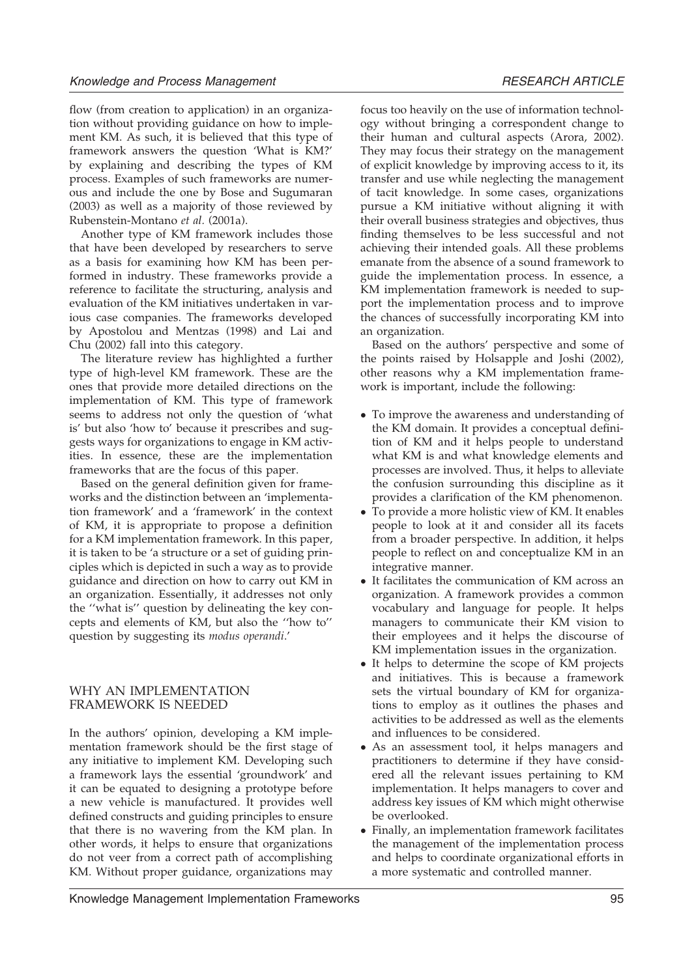flow (from creation to application) in an organization without providing guidance on how to implement KM. As such, it is believed that this type of framework answers the question 'What is KM?' by explaining and describing the types of KM process. Examples of such frameworks are numerous and include the one by Bose and Sugumaran (2003) as well as a majority of those reviewed by Rubenstein-Montano et al. (2001a).

Another type of KM framework includes those that have been developed by researchers to serve as a basis for examining how KM has been performed in industry. These frameworks provide a reference to facilitate the structuring, analysis and evaluation of the KM initiatives undertaken in various case companies. The frameworks developed by Apostolou and Mentzas (1998) and Lai and Chu (2002) fall into this category.

The literature review has highlighted a further type of high-level KM framework. These are the ones that provide more detailed directions on the implementation of KM. This type of framework seems to address not only the question of 'what is' but also 'how to' because it prescribes and suggests ways for organizations to engage in KM activities. In essence, these are the implementation frameworks that are the focus of this paper.

Based on the general definition given for frameworks and the distinction between an 'implementation framework' and a 'framework' in the context of KM, it is appropriate to propose a definition for a KM implementation framework. In this paper, it is taken to be 'a structure or a set of guiding principles which is depicted in such a way as to provide guidance and direction on how to carry out KM in an organization. Essentially, it addresses not only the ''what is'' question by delineating the key concepts and elements of KM, but also the ''how to'' question by suggesting its modus operandi.'

#### WHY AN IMPLEMENTATION FRAMEWORK IS NEEDED

In the authors' opinion, developing a KM implementation framework should be the first stage of any initiative to implement KM. Developing such a framework lays the essential 'groundwork' and it can be equated to designing a prototype before a new vehicle is manufactured. It provides well defined constructs and guiding principles to ensure that there is no wavering from the KM plan. In other words, it helps to ensure that organizations do not veer from a correct path of accomplishing KM. Without proper guidance, organizations may

focus too heavily on the use of information technology without bringing a correspondent change to their human and cultural aspects (Arora, 2002). They may focus their strategy on the management of explicit knowledge by improving access to it, its transfer and use while neglecting the management of tacit knowledge. In some cases, organizations pursue a KM initiative without aligning it with their overall business strategies and objectives, thus finding themselves to be less successful and not achieving their intended goals. All these problems emanate from the absence of a sound framework to guide the implementation process. In essence, a KM implementation framework is needed to support the implementation process and to improve the chances of successfully incorporating KM into an organization.

Based on the authors' perspective and some of the points raised by Holsapple and Joshi (2002), other reasons why a KM implementation framework is important, include the following:

- To improve the awareness and understanding of the KM domain. It provides a conceptual definition of KM and it helps people to understand what KM is and what knowledge elements and processes are involved. Thus, it helps to alleviate the confusion surrounding this discipline as it provides a clarification of the KM phenomenon.
- To provide a more holistic view of KM. It enables people to look at it and consider all its facets from a broader perspective. In addition, it helps people to reflect on and conceptualize KM in an integrative manner.
- It facilitates the communication of KM across an organization. A framework provides a common vocabulary and language for people. It helps managers to communicate their KM vision to their employees and it helps the discourse of KM implementation issues in the organization.
- It helps to determine the scope of KM projects and initiatives. This is because a framework sets the virtual boundary of KM for organizations to employ as it outlines the phases and activities to be addressed as well as the elements and influences to be considered.
- As an assessment tool, it helps managers and practitioners to determine if they have considered all the relevant issues pertaining to KM implementation. It helps managers to cover and address key issues of KM which might otherwise be overlooked.
- Finally, an implementation framework facilitates the management of the implementation process and helps to coordinate organizational efforts in a more systematic and controlled manner.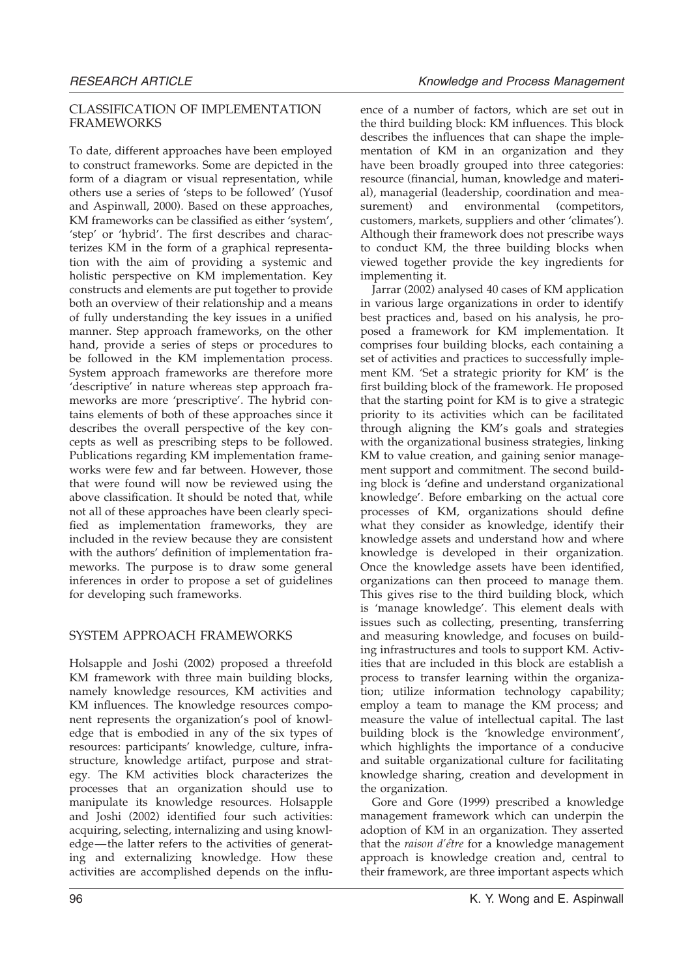## CLASSIFICATION OF IMPLEMENTATION FRAMEWORKS

To date, different approaches have been employed to construct frameworks. Some are depicted in the form of a diagram or visual representation, while others use a series of 'steps to be followed' (Yusof and Aspinwall, 2000). Based on these approaches, KM frameworks can be classified as either 'system', 'step' or 'hybrid'. The first describes and characterizes KM in the form of a graphical representation with the aim of providing a systemic and holistic perspective on KM implementation. Key constructs and elements are put together to provide both an overview of their relationship and a means of fully understanding the key issues in a unified manner. Step approach frameworks, on the other hand, provide a series of steps or procedures to be followed in the KM implementation process. System approach frameworks are therefore more 'descriptive' in nature whereas step approach frameworks are more 'prescriptive'. The hybrid contains elements of both of these approaches since it describes the overall perspective of the key concepts as well as prescribing steps to be followed. Publications regarding KM implementation frameworks were few and far between. However, those that were found will now be reviewed using the above classification. It should be noted that, while not all of these approaches have been clearly specified as implementation frameworks, they are included in the review because they are consistent with the authors' definition of implementation frameworks. The purpose is to draw some general inferences in order to propose a set of guidelines for developing such frameworks.

# SYSTEM APPROACH FRAMEWORKS

Holsapple and Joshi (2002) proposed a threefold KM framework with three main building blocks, namely knowledge resources, KM activities and KM influences. The knowledge resources component represents the organization's pool of knowledge that is embodied in any of the six types of resources: participants' knowledge, culture, infrastructure, knowledge artifact, purpose and strategy. The KM activities block characterizes the processes that an organization should use to manipulate its knowledge resources. Holsapple and Joshi (2002) identified four such activities: acquiring, selecting, internalizing and using knowledge— the latter refers to the activities of generating and externalizing knowledge. How these activities are accomplished depends on the influence of a number of factors, which are set out in the third building block: KM influences. This block describes the influences that can shape the implementation of KM in an organization and they have been broadly grouped into three categories: resource (financial, human, knowledge and material), managerial (leadership, coordination and measurement) and environmental (competitors, customers, markets, suppliers and other 'climates'). Although their framework does not prescribe ways to conduct KM, the three building blocks when viewed together provide the key ingredients for implementing it.

Jarrar (2002) analysed 40 cases of KM application in various large organizations in order to identify best practices and, based on his analysis, he proposed a framework for KM implementation. It comprises four building blocks, each containing a set of activities and practices to successfully implement KM. 'Set a strategic priority for KM' is the first building block of the framework. He proposed that the starting point for KM is to give a strategic priority to its activities which can be facilitated through aligning the KM's goals and strategies with the organizational business strategies, linking KM to value creation, and gaining senior management support and commitment. The second building block is 'define and understand organizational knowledge'. Before embarking on the actual core processes of KM, organizations should define what they consider as knowledge, identify their knowledge assets and understand how and where knowledge is developed in their organization. Once the knowledge assets have been identified, organizations can then proceed to manage them. This gives rise to the third building block, which is 'manage knowledge'. This element deals with issues such as collecting, presenting, transferring and measuring knowledge, and focuses on building infrastructures and tools to support KM. Activities that are included in this block are establish a process to transfer learning within the organization; utilize information technology capability; employ a team to manage the KM process; and measure the value of intellectual capital. The last building block is the 'knowledge environment', which highlights the importance of a conducive and suitable organizational culture for facilitating knowledge sharing, creation and development in the organization.

Gore and Gore (1999) prescribed a knowledge management framework which can underpin the adoption of KM in an organization. They asserted that the raison d'être for a knowledge management approach is knowledge creation and, central to their framework, are three important aspects which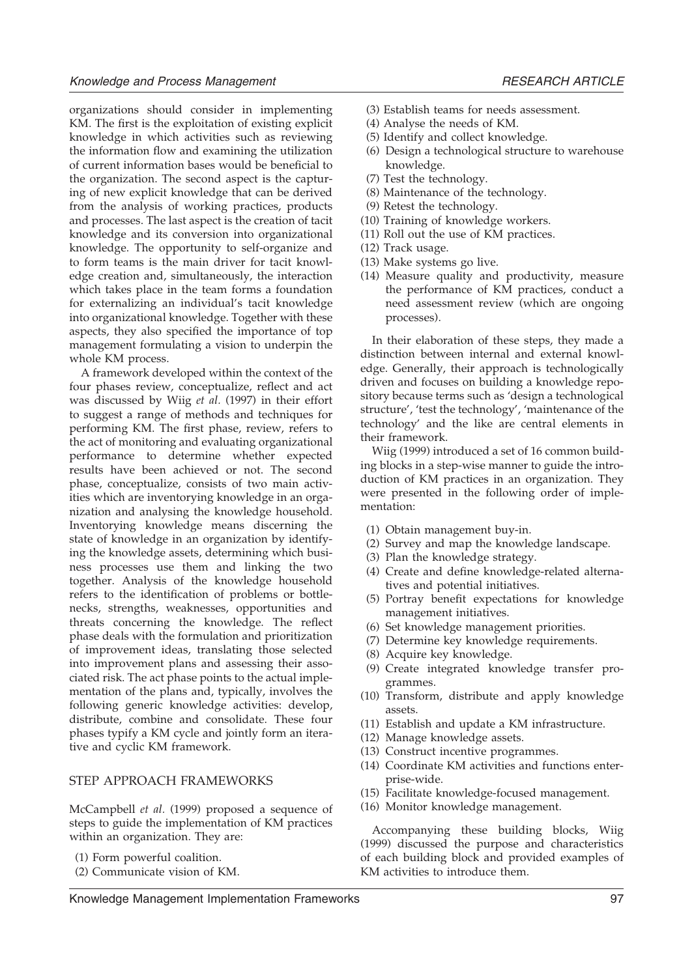organizations should consider in implementing KM. The first is the exploitation of existing explicit knowledge in which activities such as reviewing the information flow and examining the utilization of current information bases would be beneficial to the organization. The second aspect is the capturing of new explicit knowledge that can be derived from the analysis of working practices, products and processes. The last aspect is the creation of tacit knowledge and its conversion into organizational knowledge. The opportunity to self-organize and to form teams is the main driver for tacit knowledge creation and, simultaneously, the interaction which takes place in the team forms a foundation for externalizing an individual's tacit knowledge into organizational knowledge. Together with these aspects, they also specified the importance of top management formulating a vision to underpin the whole KM process.

A framework developed within the context of the four phases review, conceptualize, reflect and act was discussed by Wiig et al. (1997) in their effort to suggest a range of methods and techniques for performing KM. The first phase, review, refers to the act of monitoring and evaluating organizational performance to determine whether expected results have been achieved or not. The second phase, conceptualize, consists of two main activities which are inventorying knowledge in an organization and analysing the knowledge household. Inventorying knowledge means discerning the state of knowledge in an organization by identifying the knowledge assets, determining which business processes use them and linking the two together. Analysis of the knowledge household refers to the identification of problems or bottlenecks, strengths, weaknesses, opportunities and threats concerning the knowledge. The reflect phase deals with the formulation and prioritization of improvement ideas, translating those selected into improvement plans and assessing their associated risk. The act phase points to the actual implementation of the plans and, typically, involves the following generic knowledge activities: develop, distribute, combine and consolidate. These four phases typify a KM cycle and jointly form an iterative and cyclic KM framework.

#### STEP APPROACH FRAMEWORKS

McCampbell et al. (1999) proposed a sequence of steps to guide the implementation of KM practices within an organization. They are:

- (1) Form powerful coalition.
- (2) Communicate vision of KM.
- (3) Establish teams for needs assessment.
- (4) Analyse the needs of KM.
- (5) Identify and collect knowledge.
- (6) Design a technological structure to warehouse knowledge.
- (7) Test the technology.
- (8) Maintenance of the technology.
- (9) Retest the technology.
- (10) Training of knowledge workers.
- (11) Roll out the use of KM practices.
- (12) Track usage.
- (13) Make systems go live.
- (14) Measure quality and productivity, measure the performance of KM practices, conduct a need assessment review (which are ongoing processes).

In their elaboration of these steps, they made a distinction between internal and external knowledge. Generally, their approach is technologically driven and focuses on building a knowledge repository because terms such as 'design a technological structure', 'test the technology', 'maintenance of the technology' and the like are central elements in their framework.

Wiig (1999) introduced a set of 16 common building blocks in a step-wise manner to guide the introduction of KM practices in an organization. They were presented in the following order of implementation:

- (1) Obtain management buy-in.
- (2) Survey and map the knowledge landscape.
- (3) Plan the knowledge strategy.
- (4) Create and define knowledge-related alternatives and potential initiatives.
- (5) Portray benefit expectations for knowledge management initiatives.
- (6) Set knowledge management priorities.
- (7) Determine key knowledge requirements.
- (8) Acquire key knowledge.
- (9) Create integrated knowledge transfer programmes.
- (10) Transform, distribute and apply knowledge assets.
- (11) Establish and update a KM infrastructure.
- (12) Manage knowledge assets.
- (13) Construct incentive programmes.
- (14) Coordinate KM activities and functions enterprise-wide.
- (15) Facilitate knowledge-focused management.
- (16) Monitor knowledge management.

Accompanying these building blocks, Wiig (1999) discussed the purpose and characteristics of each building block and provided examples of KM activities to introduce them.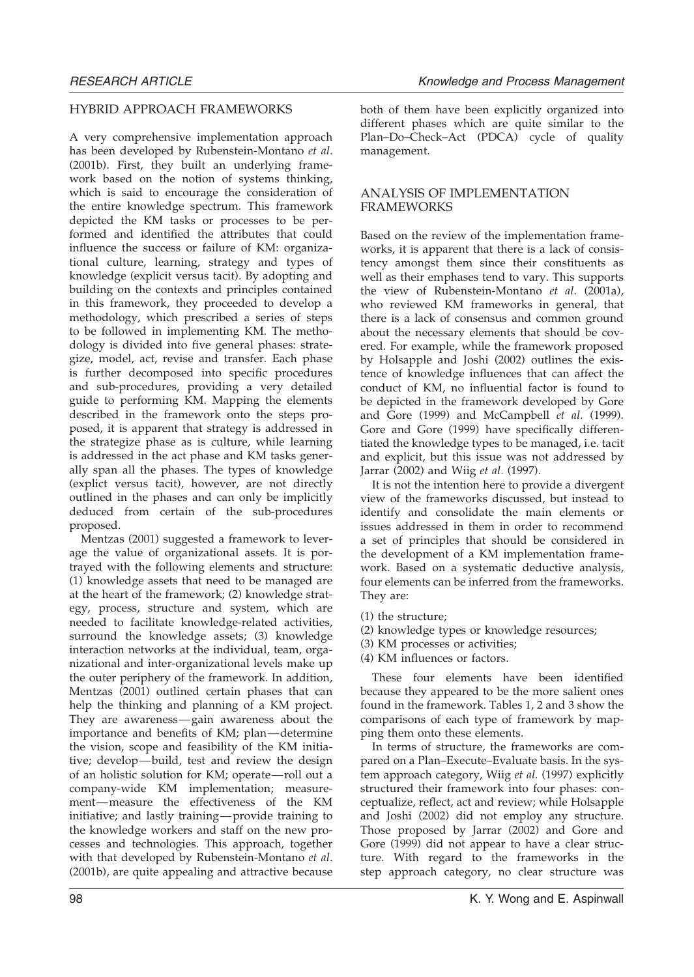## HYBRID APPROACH FRAMEWORKS

A very comprehensive implementation approach has been developed by Rubenstein-Montano et al. (2001b). First, they built an underlying framework based on the notion of systems thinking, which is said to encourage the consideration of the entire knowledge spectrum. This framework depicted the KM tasks or processes to be performed and identified the attributes that could influence the success or failure of KM: organizational culture, learning, strategy and types of knowledge (explicit versus tacit). By adopting and building on the contexts and principles contained in this framework, they proceeded to develop a methodology, which prescribed a series of steps to be followed in implementing KM. The methodology is divided into five general phases: strategize, model, act, revise and transfer. Each phase is further decomposed into specific procedures and sub-procedures, providing a very detailed guide to performing KM. Mapping the elements described in the framework onto the steps proposed, it is apparent that strategy is addressed in the strategize phase as is culture, while learning is addressed in the act phase and KM tasks generally span all the phases. The types of knowledge (explict versus tacit), however, are not directly outlined in the phases and can only be implicitly deduced from certain of the sub-procedures proposed.

Mentzas (2001) suggested a framework to leverage the value of organizational assets. It is portrayed with the following elements and structure: (1) knowledge assets that need to be managed are at the heart of the framework; (2) knowledge strategy, process, structure and system, which are needed to facilitate knowledge-related activities, surround the knowledge assets; (3) knowledge interaction networks at the individual, team, organizational and inter-organizational levels make up the outer periphery of the framework. In addition, Mentzas (2001) outlined certain phases that can help the thinking and planning of a KM project. They are awareness—gain awareness about the importance and benefits of KM; plan—determine the vision, scope and feasibility of the KM initiative; develop—build, test and review the design of an holistic solution for KM; operate—roll out a company-wide KM implementation; measurement—measure the effectiveness of the KM initiative; and lastly training—provide training to the knowledge workers and staff on the new processes and technologies. This approach, together with that developed by Rubenstein-Montano et al. (2001b), are quite appealing and attractive because

both of them have been explicitly organized into different phases which are quite similar to the Plan–Do–Check–Act (PDCA) cycle of quality management.

#### ANALYSIS OF IMPLEMENTATION FRAMEWORKS

Based on the review of the implementation frameworks, it is apparent that there is a lack of consistency amongst them since their constituents as well as their emphases tend to vary. This supports the view of Rubenstein-Montano et al. (2001a), who reviewed KM frameworks in general, that there is a lack of consensus and common ground about the necessary elements that should be covered. For example, while the framework proposed by Holsapple and Joshi (2002) outlines the existence of knowledge influences that can affect the conduct of KM, no influential factor is found to be depicted in the framework developed by Gore and Gore (1999) and McCampbell et al. (1999). Gore and Gore (1999) have specifically differentiated the knowledge types to be managed, i.e. tacit and explicit, but this issue was not addressed by Jarrar (2002) and Wiig et al. (1997).

It is not the intention here to provide a divergent view of the frameworks discussed, but instead to identify and consolidate the main elements or issues addressed in them in order to recommend a set of principles that should be considered in the development of a KM implementation framework. Based on a systematic deductive analysis, four elements can be inferred from the frameworks. They are:

- (1) the structure;
- (2) knowledge types or knowledge resources;
- (3) KM processes or activities;
- (4) KM influences or factors.

These four elements have been identified because they appeared to be the more salient ones found in the framework. Tables 1, 2 and 3 show the comparisons of each type of framework by mapping them onto these elements.

In terms of structure, the frameworks are compared on a Plan–Execute–Evaluate basis. In the system approach category, Wiig et al. (1997) explicitly structured their framework into four phases: conceptualize, reflect, act and review; while Holsapple and Joshi (2002) did not employ any structure. Those proposed by Jarrar (2002) and Gore and Gore (1999) did not appear to have a clear structure. With regard to the frameworks in the step approach category, no clear structure was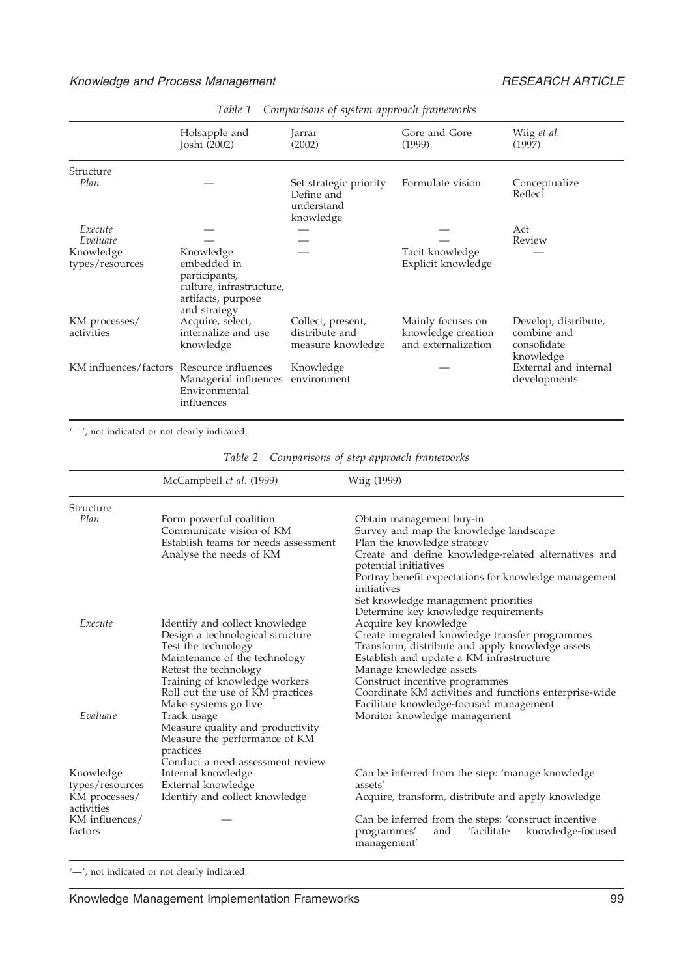# Knowledge and Process Management **RESEARCH ARTICLE**

| <i>Lable 1</i><br>Comparisons of system approach frameworks |                                                                                                |                                                                 |                                                                |                                                                 |
|-------------------------------------------------------------|------------------------------------------------------------------------------------------------|-----------------------------------------------------------------|----------------------------------------------------------------|-----------------------------------------------------------------|
|                                                             | Holsapple and<br>Joshi (2002)                                                                  | Jarrar<br>(2002)                                                | Gore and Gore<br>(1999)                                        | Wiig et al.<br>(1997)                                           |
| Structure                                                   |                                                                                                |                                                                 |                                                                |                                                                 |
| Plan                                                        |                                                                                                | Set strategic priority<br>Define and<br>understand<br>knowledge | Formulate vision                                               | Conceptualize<br>Reflect                                        |
| Execute                                                     |                                                                                                |                                                                 |                                                                | Act                                                             |
| Evaluate                                                    |                                                                                                |                                                                 |                                                                | Review                                                          |
| Knowledge                                                   | Knowledge                                                                                      |                                                                 | Tacit knowledge                                                |                                                                 |
| types/resources                                             | embedded in<br>participants,<br>culture, infrastructure,<br>artifacts, purpose<br>and strategy |                                                                 | Explicit knowledge                                             |                                                                 |
| KM processes/<br>activities                                 | Acquire, select,<br>internalize and use<br>knowledge                                           | Collect, present,<br>distribute and<br>measure knowledge        | Mainly focuses on<br>knowledge creation<br>and externalization | Develop, distribute,<br>combine and<br>consolidate<br>knowledge |
| KM influences/factors Resource influences                   | Managerial influences<br>Environmental<br>influences                                           | Knowledge<br>environment                                        |                                                                | External and internal<br>developments                           |

Table 1 Comparisons of system approach frameworks

'—', not indicated or not clearly indicated.

| Table 2 | Comparisons of step approach frameworks |  |  |
|---------|-----------------------------------------|--|--|
|         |                                         |  |  |

|                             | McCampbell et al. (1999)                                                                                                                                                                                                                         | Wiig (1999)                                                                                                                                                                                                                                                                                                                                |
|-----------------------------|--------------------------------------------------------------------------------------------------------------------------------------------------------------------------------------------------------------------------------------------------|--------------------------------------------------------------------------------------------------------------------------------------------------------------------------------------------------------------------------------------------------------------------------------------------------------------------------------------------|
| Structure<br>Plan           | Form powerful coalition<br>Communicate vision of KM<br>Establish teams for needs assessment                                                                                                                                                      | Obtain management buy-in<br>Survey and map the knowledge landscape<br>Plan the knowledge strategy                                                                                                                                                                                                                                          |
|                             | Analyse the needs of KM                                                                                                                                                                                                                          | Create and define knowledge-related alternatives and<br>potential initiatives<br>Portray benefit expectations for knowledge management<br>initiatives<br>Set knowledge management priorities<br>Determine key knowledge requirements                                                                                                       |
| Execute                     | Identify and collect knowledge<br>Design a technological structure<br>Test the technology<br>Maintenance of the technology<br>Retest the technology<br>Training of knowledge workers<br>Roll out the use of KM practices<br>Make systems go live | Acquire key knowledge<br>Create integrated knowledge transfer programmes<br>Transform, distribute and apply knowledge assets<br>Establish and update a KM infrastructure<br>Manage knowledge assets<br>Construct incentive programmes<br>Coordinate KM activities and functions enterprise-wide<br>Facilitate knowledge-focused management |
| Evaluate                    | Track usage<br>Measure quality and productivity<br>Measure the performance of KM<br>practices<br>Conduct a need assessment review                                                                                                                | Monitor knowledge management                                                                                                                                                                                                                                                                                                               |
| Knowledge                   | Internal knowledge                                                                                                                                                                                                                               | Can be inferred from the step: 'manage knowledge                                                                                                                                                                                                                                                                                           |
| types/resources             | External knowledge                                                                                                                                                                                                                               | assets'                                                                                                                                                                                                                                                                                                                                    |
| KM processes/<br>activities | Identify and collect knowledge                                                                                                                                                                                                                   | Acquire, transform, distribute and apply knowledge                                                                                                                                                                                                                                                                                         |
| KM influences/<br>factors   |                                                                                                                                                                                                                                                  | Can be inferred from the steps: 'construct incentive<br>knowledge-focused<br>programmes'<br>and<br>'facilitate<br>management'                                                                                                                                                                                                              |

'—', not indicated or not clearly indicated.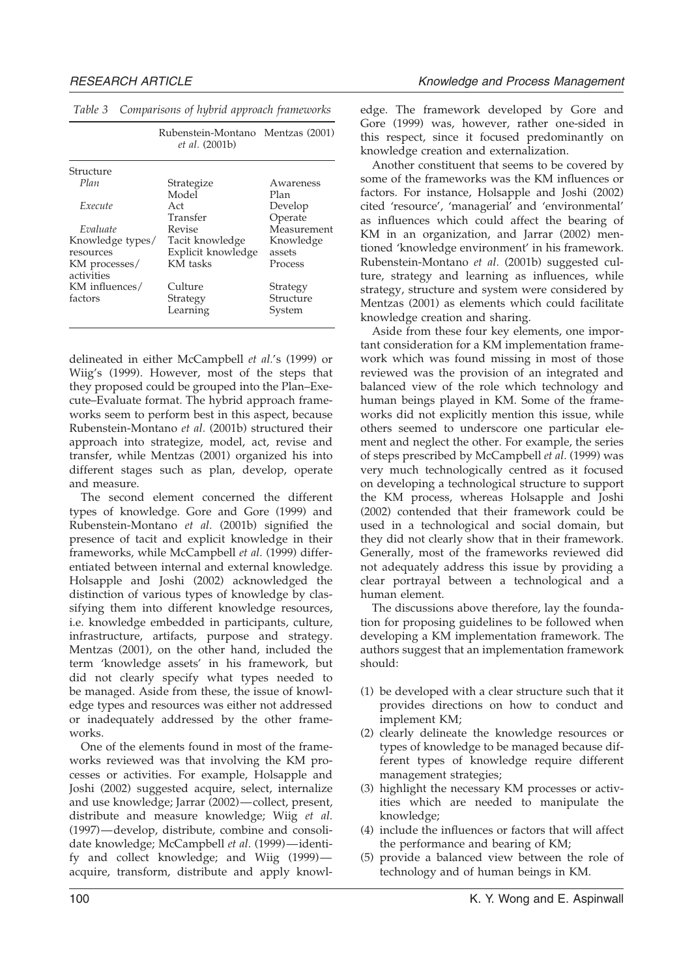|                             | Rubenstein-Montano Mentzas (2001)<br><i>et al.</i> (2001b) |             |
|-----------------------------|------------------------------------------------------------|-------------|
| Structure                   |                                                            |             |
| Plan                        | Strategize                                                 | Awareness   |
|                             | Model                                                      | Plan        |
| Execute                     | Act                                                        | Develop     |
|                             | Transfer                                                   | Operate     |
| Evaluate                    | Revise                                                     | Measurement |
| Knowledge types/            | Tacit knowledge                                            | Knowledge   |
| resources                   | Explicit knowledge                                         | assets      |
| KM processes/<br>activities | <b>KM</b> tasks                                            | Process     |
| KM influences/              | Culture                                                    | Strategy    |
| factors                     | Strategy                                                   | Structure   |
|                             | Learning                                                   | System      |

|  | Table 3 Comparisons of hybrid approach frameworks |  |  |  |
|--|---------------------------------------------------|--|--|--|
|--|---------------------------------------------------|--|--|--|

delineated in either McCampbell et al.'s (1999) or Wiig's (1999). However, most of the steps that they proposed could be grouped into the Plan–Execute–Evaluate format. The hybrid approach frameworks seem to perform best in this aspect, because Rubenstein-Montano et al. (2001b) structured their approach into strategize, model, act, revise and transfer, while Mentzas (2001) organized his into different stages such as plan, develop, operate and measure.

The second element concerned the different types of knowledge. Gore and Gore (1999) and Rubenstein-Montano et al. (2001b) signified the presence of tacit and explicit knowledge in their frameworks, while McCampbell et al. (1999) differentiated between internal and external knowledge. Holsapple and Joshi (2002) acknowledged the distinction of various types of knowledge by classifying them into different knowledge resources, i.e. knowledge embedded in participants, culture, infrastructure, artifacts, purpose and strategy. Mentzas (2001), on the other hand, included the term 'knowledge assets' in his framework, but did not clearly specify what types needed to be managed. Aside from these, the issue of knowledge types and resources was either not addressed or inadequately addressed by the other frameworks.

One of the elements found in most of the frameworks reviewed was that involving the KM processes or activities. For example, Holsapple and Joshi (2002) suggested acquire, select, internalize and use knowledge; Jarrar (2002)—collect, present, distribute and measure knowledge; Wiig et al. (1997)—develop, distribute, combine and consolidate knowledge; McCampbell et al. (1999)—identify and collect knowledge; and Wiig (1999) acquire, transform, distribute and apply knowledge. The framework developed by Gore and Gore (1999) was, however, rather one-sided in this respect, since it focused predominantly on knowledge creation and externalization.

Another constituent that seems to be covered by some of the frameworks was the KM influences or factors. For instance, Holsapple and Joshi (2002) cited 'resource', 'managerial' and 'environmental' as influences which could affect the bearing of KM in an organization, and Jarrar (2002) mentioned 'knowledge environment' in his framework. Rubenstein-Montano et al. (2001b) suggested culture, strategy and learning as influences, while strategy, structure and system were considered by Mentzas (2001) as elements which could facilitate knowledge creation and sharing.

Aside from these four key elements, one important consideration for a KM implementation framework which was found missing in most of those reviewed was the provision of an integrated and balanced view of the role which technology and human beings played in KM. Some of the frameworks did not explicitly mention this issue, while others seemed to underscore one particular element and neglect the other. For example, the series of steps prescribed by McCampbell et al. (1999) was very much technologically centred as it focused on developing a technological structure to support the KM process, whereas Holsapple and Joshi (2002) contended that their framework could be used in a technological and social domain, but they did not clearly show that in their framework. Generally, most of the frameworks reviewed did not adequately address this issue by providing a clear portrayal between a technological and a human element.

The discussions above therefore, lay the foundation for proposing guidelines to be followed when developing a KM implementation framework. The authors suggest that an implementation framework should:

- (1) be developed with a clear structure such that it provides directions on how to conduct and implement KM;
- (2) clearly delineate the knowledge resources or types of knowledge to be managed because different types of knowledge require different management strategies;
- (3) highlight the necessary KM processes or activities which are needed to manipulate the knowledge;
- (4) include the influences or factors that will affect the performance and bearing of KM;
- (5) provide a balanced view between the role of technology and of human beings in KM.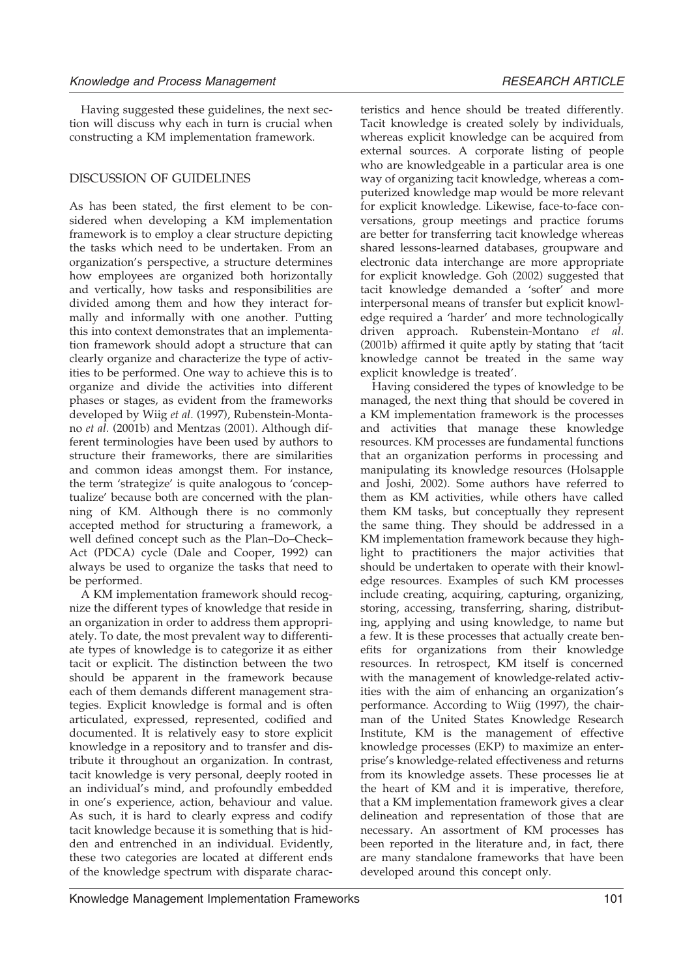Having suggested these guidelines, the next section will discuss why each in turn is crucial when constructing a KM implementation framework.

# DISCUSSION OF GUIDELINES

As has been stated, the first element to be considered when developing a KM implementation framework is to employ a clear structure depicting the tasks which need to be undertaken. From an organization's perspective, a structure determines how employees are organized both horizontally and vertically, how tasks and responsibilities are divided among them and how they interact formally and informally with one another. Putting this into context demonstrates that an implementation framework should adopt a structure that can clearly organize and characterize the type of activities to be performed. One way to achieve this is to organize and divide the activities into different phases or stages, as evident from the frameworks developed by Wiig et al. (1997), Rubenstein-Montano et al. (2001b) and Mentzas (2001). Although different terminologies have been used by authors to structure their frameworks, there are similarities and common ideas amongst them. For instance, the term 'strategize' is quite analogous to 'conceptualize' because both are concerned with the planning of KM. Although there is no commonly accepted method for structuring a framework, a well defined concept such as the Plan–Do–Check– Act (PDCA) cycle (Dale and Cooper, 1992) can always be used to organize the tasks that need to be performed.

A KM implementation framework should recognize the different types of knowledge that reside in an organization in order to address them appropriately. To date, the most prevalent way to differentiate types of knowledge is to categorize it as either tacit or explicit. The distinction between the two should be apparent in the framework because each of them demands different management strategies. Explicit knowledge is formal and is often articulated, expressed, represented, codified and documented. It is relatively easy to store explicit knowledge in a repository and to transfer and distribute it throughout an organization. In contrast, tacit knowledge is very personal, deeply rooted in an individual's mind, and profoundly embedded in one's experience, action, behaviour and value. As such, it is hard to clearly express and codify tacit knowledge because it is something that is hidden and entrenched in an individual. Evidently, these two categories are located at different ends of the knowledge spectrum with disparate characteristics and hence should be treated differently. Tacit knowledge is created solely by individuals, whereas explicit knowledge can be acquired from external sources. A corporate listing of people who are knowledgeable in a particular area is one way of organizing tacit knowledge, whereas a computerized knowledge map would be more relevant for explicit knowledge. Likewise, face-to-face conversations, group meetings and practice forums are better for transferring tacit knowledge whereas shared lessons-learned databases, groupware and electronic data interchange are more appropriate for explicit knowledge. Goh (2002) suggested that tacit knowledge demanded a 'softer' and more interpersonal means of transfer but explicit knowledge required a 'harder' and more technologically driven approach. Rubenstein-Montano et al. (2001b) affirmed it quite aptly by stating that 'tacit knowledge cannot be treated in the same way explicit knowledge is treated'.

Having considered the types of knowledge to be managed, the next thing that should be covered in a KM implementation framework is the processes and activities that manage these knowledge resources. KM processes are fundamental functions that an organization performs in processing and manipulating its knowledge resources (Holsapple and Joshi, 2002). Some authors have referred to them as KM activities, while others have called them KM tasks, but conceptually they represent the same thing. They should be addressed in a KM implementation framework because they highlight to practitioners the major activities that should be undertaken to operate with their knowledge resources. Examples of such KM processes include creating, acquiring, capturing, organizing, storing, accessing, transferring, sharing, distributing, applying and using knowledge, to name but a few. It is these processes that actually create benefits for organizations from their knowledge resources. In retrospect, KM itself is concerned with the management of knowledge-related activities with the aim of enhancing an organization's performance. According to Wiig (1997), the chairman of the United States Knowledge Research Institute, KM is the management of effective knowledge processes (EKP) to maximize an enterprise's knowledge-related effectiveness and returns from its knowledge assets. These processes lie at the heart of KM and it is imperative, therefore, that a KM implementation framework gives a clear delineation and representation of those that are necessary. An assortment of KM processes has been reported in the literature and, in fact, there are many standalone frameworks that have been developed around this concept only.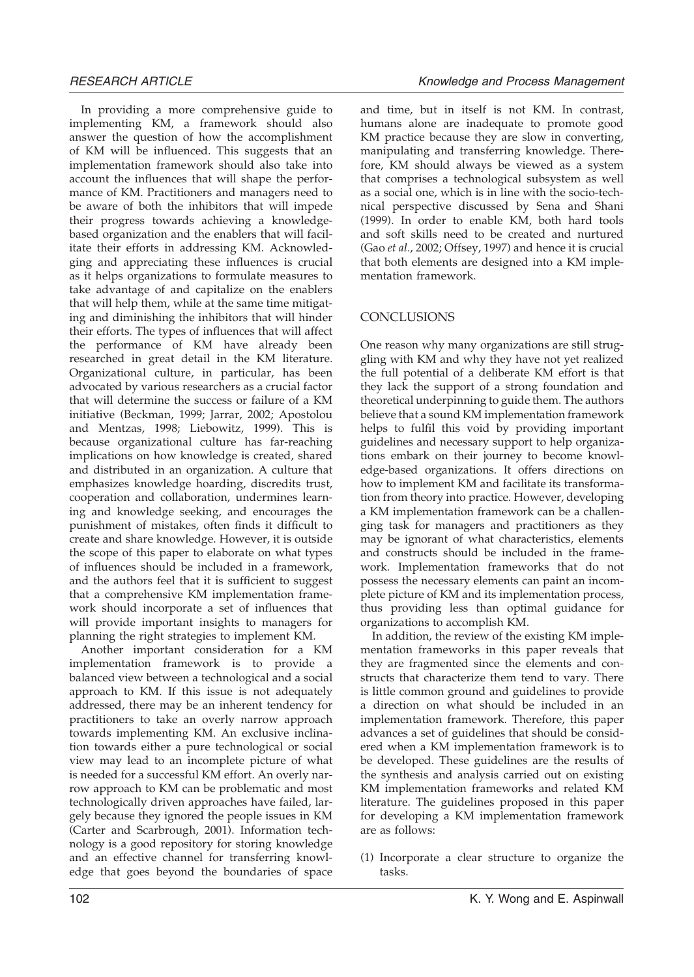In providing a more comprehensive guide to implementing KM, a framework should also answer the question of how the accomplishment of KM will be influenced. This suggests that an implementation framework should also take into account the influences that will shape the performance of KM. Practitioners and managers need to be aware of both the inhibitors that will impede their progress towards achieving a knowledgebased organization and the enablers that will facilitate their efforts in addressing KM. Acknowledging and appreciating these influences is crucial as it helps organizations to formulate measures to take advantage of and capitalize on the enablers that will help them, while at the same time mitigating and diminishing the inhibitors that will hinder their efforts. The types of influences that will affect the performance of KM have already been researched in great detail in the KM literature. Organizational culture, in particular, has been advocated by various researchers as a crucial factor that will determine the success or failure of a KM initiative (Beckman, 1999; Jarrar, 2002; Apostolou and Mentzas, 1998; Liebowitz, 1999). This is because organizational culture has far-reaching implications on how knowledge is created, shared and distributed in an organization. A culture that emphasizes knowledge hoarding, discredits trust, cooperation and collaboration, undermines learning and knowledge seeking, and encourages the punishment of mistakes, often finds it difficult to create and share knowledge. However, it is outside the scope of this paper to elaborate on what types of influences should be included in a framework, and the authors feel that it is sufficient to suggest that a comprehensive KM implementation framework should incorporate a set of influences that will provide important insights to managers for planning the right strategies to implement KM.

Another important consideration for a KM implementation framework is to provide a balanced view between a technological and a social approach to KM. If this issue is not adequately addressed, there may be an inherent tendency for practitioners to take an overly narrow approach towards implementing KM. An exclusive inclination towards either a pure technological or social view may lead to an incomplete picture of what is needed for a successful KM effort. An overly narrow approach to KM can be problematic and most technologically driven approaches have failed, largely because they ignored the people issues in KM (Carter and Scarbrough, 2001). Information technology is a good repository for storing knowledge and an effective channel for transferring knowledge that goes beyond the boundaries of space

and time, but in itself is not KM. In contrast, humans alone are inadequate to promote good KM practice because they are slow in converting, manipulating and transferring knowledge. Therefore, KM should always be viewed as a system that comprises a technological subsystem as well as a social one, which is in line with the socio-technical perspective discussed by Sena and Shani (1999). In order to enable KM, both hard tools and soft skills need to be created and nurtured (Gao et al., 2002; Offsey, 1997) and hence it is crucial that both elements are designed into a KM implementation framework.

# CONCLUSIONS

One reason why many organizations are still struggling with KM and why they have not yet realized the full potential of a deliberate KM effort is that they lack the support of a strong foundation and theoretical underpinning to guide them. The authors believe that a sound KM implementation framework helps to fulfil this void by providing important guidelines and necessary support to help organizations embark on their journey to become knowledge-based organizations. It offers directions on how to implement KM and facilitate its transformation from theory into practice. However, developing a KM implementation framework can be a challenging task for managers and practitioners as they may be ignorant of what characteristics, elements and constructs should be included in the framework. Implementation frameworks that do not possess the necessary elements can paint an incomplete picture of KM and its implementation process, thus providing less than optimal guidance for organizations to accomplish KM.

In addition, the review of the existing KM implementation frameworks in this paper reveals that they are fragmented since the elements and constructs that characterize them tend to vary. There is little common ground and guidelines to provide a direction on what should be included in an implementation framework. Therefore, this paper advances a set of guidelines that should be considered when a KM implementation framework is to be developed. These guidelines are the results of the synthesis and analysis carried out on existing KM implementation frameworks and related KM literature. The guidelines proposed in this paper for developing a KM implementation framework are as follows:

(1) Incorporate a clear structure to organize the tasks.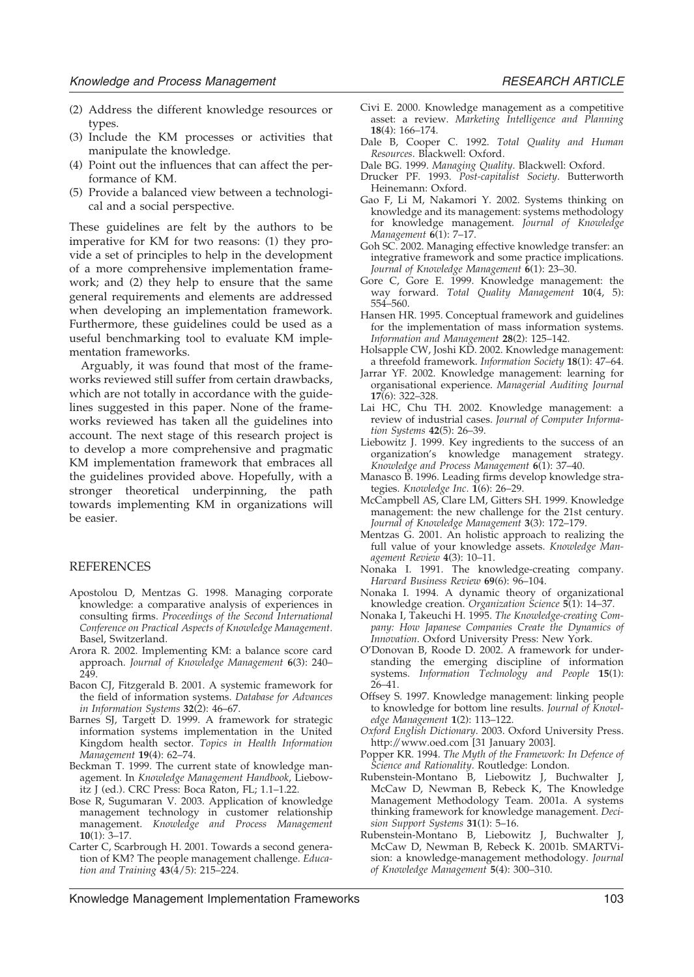- (2) Address the different knowledge resources or types.
- (3) Include the KM processes or activities that manipulate the knowledge.
- (4) Point out the influences that can affect the performance of KM.
- (5) Provide a balanced view between a technological and a social perspective.

These guidelines are felt by the authors to be imperative for KM for two reasons: (1) they provide a set of principles to help in the development of a more comprehensive implementation framework; and (2) they help to ensure that the same general requirements and elements are addressed when developing an implementation framework. Furthermore, these guidelines could be used as a useful benchmarking tool to evaluate KM implementation frameworks.

Arguably, it was found that most of the frameworks reviewed still suffer from certain drawbacks, which are not totally in accordance with the guidelines suggested in this paper. None of the frameworks reviewed has taken all the guidelines into account. The next stage of this research project is to develop a more comprehensive and pragmatic KM implementation framework that embraces all the guidelines provided above. Hopefully, with a stronger theoretical underpinning, the path towards implementing KM in organizations will be easier.

#### REFERENCES

- Apostolou D, Mentzas G. 1998. Managing corporate knowledge: a comparative analysis of experiences in consulting firms. Proceedings of the Second International Conference on Practical Aspects of Knowledge Management. Basel, Switzerland.
- Arora R. 2002. Implementing KM: a balance score card approach. Journal of Knowledge Management 6(3): 240– 249.
- Bacon CJ, Fitzgerald B. 2001. A systemic framework for the field of information systems. Database for Advances in Information Systems 32(2): 46–67.
- Barnes SJ, Targett D. 1999. A framework for strategic information systems implementation in the United Kingdom health sector. Topics in Health Information Management 19(4): 62–74.
- Beckman T. 1999. The current state of knowledge management. In Knowledge Management Handbook, Liebowitz J (ed.). CRC Press: Boca Raton, FL; 1.1–1.22.
- Bose R, Sugumaran V. 2003. Application of knowledge management technology in customer relationship management. Knowledge and Process Management  $10(1): 3-17.$
- Carter C, Scarbrough H. 2001. Towards a second generation of KM? The people management challenge. Education and Training  $43(\frac{1}{5})$ : 215–224.
- Civi E. 2000. Knowledge management as a competitive asset: a review. Marketing Intelligence and Planning 18(4): 166–174.
- Dale B, Cooper C. 1992. Total Quality and Human Resources. Blackwell: Oxford.
- Dale BG. 1999. Managing Quality. Blackwell: Oxford.
- Drucker PF. 1993. Post-capitalist Society. Butterworth Heinemann: Oxford.
- Gao F, Li M, Nakamori Y. 2002. Systems thinking on knowledge and its management: systems methodology for knowledge management. Journal of Knowledge Management 6(1): 7–17.
- Goh SC. 2002. Managing effective knowledge transfer: an integrative framework and some practice implications. Journal of Knowledge Management 6(1): 23–30.
- Gore C, Gore E. 1999. Knowledge management: the way forward. Total Quality Management 10(4, 5): 554–560.
- Hansen HR. 1995. Conceptual framework and guidelines for the implementation of mass information systems. Information and Management 28(2): 125–142.
- Holsapple CW, Joshi KD. 2002. Knowledge management: a threefold framework. Information Society 18(1): 47–64.
- Jarrar YF. 2002. Knowledge management: learning for organisational experience. Managerial Auditing Journal 17(6): 322–328.
- Lai HC, Chu TH. 2002. Knowledge management: a review of industrial cases. Journal of Computer Information Systems 42(5): 26–39.
- Liebowitz J. 1999. Key ingredients to the success of an organization's knowledge management strategy. Knowledge and Process Management  $6(1)$ : 37-40.
- Manasco B. 1996. Leading firms develop knowledge strategies. Knowledge Inc.  $1(6)$ : 26-29.
- McCampbell AS, Clare LM, Gitters SH. 1999. Knowledge management: the new challenge for the 21st century. Journal of Knowledge Management 3(3): 172–179.
- Mentzas G. 2001. An holistic approach to realizing the full value of your knowledge assets. Knowledge Management Review 4(3): 10–11.
- Nonaka I. 1991. The knowledge-creating company. Harvard Business Review 69(6): 96–104.
- Nonaka I. 1994. A dynamic theory of organizational knowledge creation. Organization Science 5(1): 14–37.
- Nonaka I, Takeuchi H. 1995. The Knowledge-creating Company: How Japanese Companies Create the Dynamics of Innovation. Oxford University Press: New York.
- O'Donovan B, Roode D. 2002. A framework for understanding the emerging discipline of information systems. Information Technology and People 15(1): 26–41.
- Offsey S. 1997. Knowledge management: linking people to knowledge for bottom line results. Journal of Knowledge Management 1(2): 113–122.
- Oxford English Dictionary. 2003. Oxford University Press. http://www.oed.com [31 January 2003].
- Popper KR. 1994. The Myth of the Framework: In Defence of Science and Rationality. Routledge: London.
- Rubenstein-Montano B, Liebowitz J, Buchwalter J, McCaw D, Newman B, Rebeck K, The Knowledge Management Methodology Team. 2001a. A systems thinking framework for knowledge management. Decision Support Systems 31(1): 5–16.
- Rubenstein-Montano B, Liebowitz J, Buchwalter J, McCaw D, Newman B, Rebeck K. 2001b. SMARTVision: a knowledge-management methodology. Journal of Knowledge Management 5(4): 300–310.